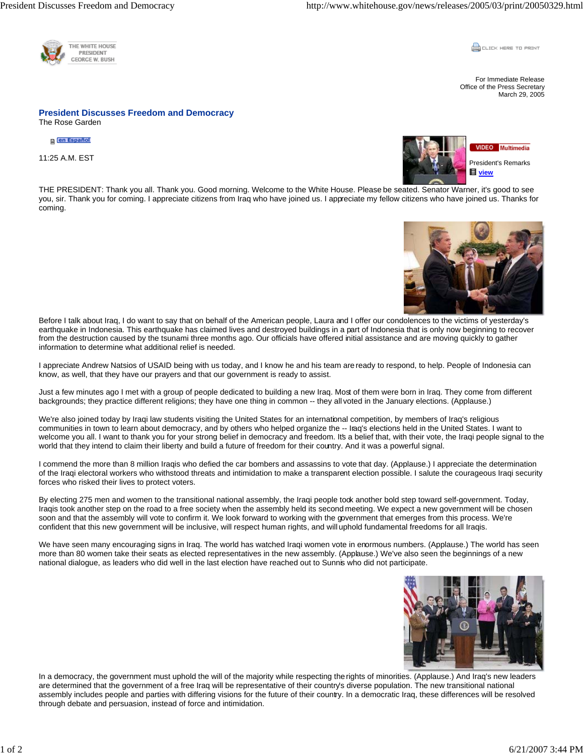

**CLICK HERE TO PRINT** 

For Immediate Release Office of the Press Secretary March 29, 2005

## **President Discusses Freedom and Democracy**  The Rose Garden

**n en Español** 

11:25 A.M. EST



THE PRESIDENT: Thank you all. Thank you. Good morning. Welcome to the White House. Please be seated. Senator Warner, it's good to see you, sir. Thank you for coming. I appreciate citizens from Iraq who have joined us. I appreciate my fellow citizens who have joined us. Thanks for coming.



Before I talk about Iraq, I do want to say that on behalf of the American people, Laura and I offer our condolences to the victims of yesterday's earthquake in Indonesia. This earthquake has claimed lives and destroyed buildings in a part of Indonesia that is only now beginning to recover from the destruction caused by the tsunami three months ago. Our officials have offered initial assistance and are moving quickly to gather information to determine what additional relief is needed.

I appreciate Andrew Natsios of USAID being with us today, and I know he and his team are ready to respond, to help. People of Indonesia can know, as well, that they have our prayers and that our government is ready to assist.

Just a few minutes ago I met with a group of people dedicated to building a new Iraq. Most of them were born in Iraq. They come from different backgrounds; they practice different religions; they have one thing in common -- they all voted in the January elections. (Applause.)

We're also joined today by Iraqi law students visiting the United States for an international competition, by members of Iraq's religious communities in town to learn about democracy, and by others who helped organize the -- Iraq's elections held in the United States. I want to welcome you all. I want to thank you for your strong belief in democracy and freedom. Its a belief that, with their vote, the Iraqi people signal to the world that they intend to claim their liberty and build a future of freedom for their country. And it was a powerful signal.

I commend the more than 8 million Iraqis who defied the car bombers and assassins to vote that day. (Applause.) I appreciate the determination of the Iraqi electoral workers who withstood threats and intimidation to make a transparent election possible. I salute the courageous Iraqi security forces who risked their lives to protect voters.

By electing 275 men and women to the transitional national assembly, the Iraqi people tock another bold step toward self-government. Today, Iraqis took another step on the road to a free society when the assembly held its second meeting. We expect a new government will be chosen soon and that the assembly will vote to confirm it. We look forward to working with the government that emerges from this process. We're confident that this new government will be inclusive, will respect human rights, and will uphold fundamental freedoms for all Iraqis.

We have seen many encouraging signs in Iraq. The world has watched Iraqi women vote in enormous numbers. (Applause.) The world has seen more than 80 women take their seats as elected representatives in the new assembly. (Applause.) We've also seen the beginnings of a new national dialogue, as leaders who did well in the last election have reached out to Sunnis who did not participate.



In a democracy, the government must uphold the will of the majority while respecting the rights of minorities. (Applause.) And Iraq's new leaders are determined that the government of a free Iraq will be representative of their country's diverse population. The new transitional national assembly includes people and parties with differing visions for the future of their country. In a democratic Iraq, these differences will be resolved through debate and persuasion, instead of force and intimidation.